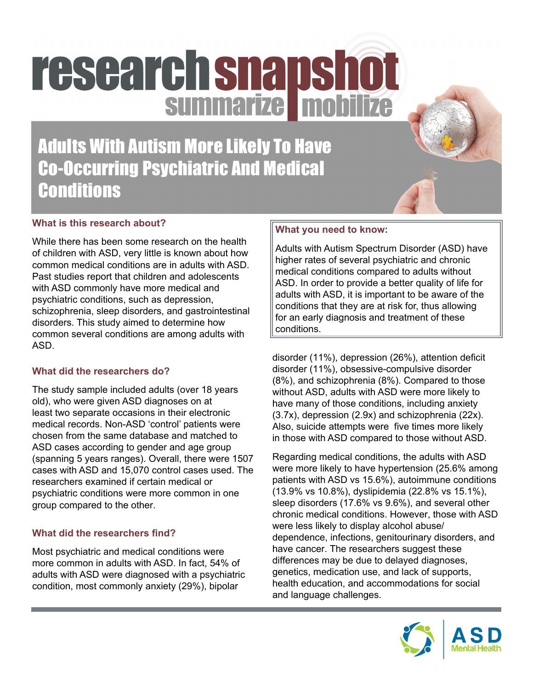# research snapshot

Adults With Autism More Likely To Have Co-Occurring Psychiatric And Medical **Conditions** 

# **What is this research about?**

While there has been some research on the health of children with ASD, very little is known about how common medical conditions are in adults with ASD. Past studies report that children and adolescents with ASD commonly have more medical and psychiatric conditions, such as depression, schizophrenia, sleep disorders, and gastrointestinal disorders. This study aimed to determine how common several conditions are among adults with ASD.

## **What did the researchers do?**

The study sample included adults (over 18 years old), who were given ASD diagnoses on at least two separate occasions in their electronic medical records. Non-ASD 'control' patients were chosen from the same database and matched to ASD cases according to gender and age group (spanning 5 years ranges). Overall, there were 1507 cases with ASD and 15,070 control cases used. The researchers examined if certain medical or psychiatric conditions were more common in one group compared to the other.

# **What did the researchers find?**

Most psychiatric and medical conditions were more common in adults with ASD. In fact, 54% of adults with ASD were diagnosed with a psychiatric condition, most commonly anxiety (29%), bipolar

# **What you need to know:**

Adults with Autism Spectrum Disorder (ASD) have higher rates of several psychiatric and chronic medical conditions compared to adults without ASD. In order to provide a better quality of life for adults with ASD, it is important to be aware of the conditions that they are at risk for, thus allowing for an early diagnosis and treatment of these conditions.

disorder (11%), depression (26%), attention deficit disorder (11%), obsessive-compulsive disorder (8%), and schizophrenia (8%). Compared to those without ASD, adults with ASD were more likely to have many of those conditions, including anxiety (3.7x), depression (2.9x) and schizophrenia (22x). Also, suicide attempts were five times more likely in those with ASD compared to those without ASD.

Regarding medical conditions, the adults with ASD were more likely to have hypertension (25.6% among patients with ASD vs 15.6%), autoimmune conditions (13.9% vs 10.8%), dyslipidemia (22.8% vs 15.1%), sleep disorders (17.6% vs 9.6%), and several other chronic medical conditions. However, those with ASD were less likely to display alcohol abuse/ dependence, infections, genitourinary disorders, and have cancer. The researchers suggest these differences may be due to delayed diagnoses, genetics, medication use, and lack of supports, health education, and accommodations for social and language challenges.